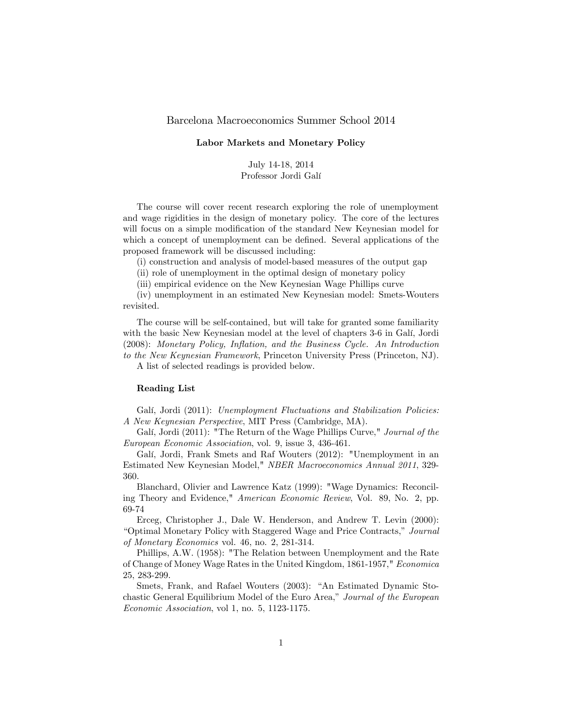## Barcelona Macroeconomics Summer School 2014

## Labor Markets and Monetary Policy

July 14-18, 2014 Professor Jordi Galí

The course will cover recent research exploring the role of unemployment and wage rigidities in the design of monetary policy. The core of the lectures will focus on a simple modification of the standard New Keynesian model for which a concept of unemployment can be defined. Several applications of the proposed framework will be discussed including:

(i) construction and analysis of model-based measures of the output gap

(ii) role of unemployment in the optimal design of monetary policy

(iii) empirical evidence on the New Keynesian Wage Phillips curve

(iv) unemployment in an estimated New Keynesian model: Smets-Wouters revisited.

The course will be self-contained, but will take for granted some familiarity with the basic New Keynesian model at the level of chapters 3-6 in Galí, Jordi (2008): Monetary Policy, Inflation, and the Business Cycle. An Introduction to the New Keynesian Framework, Princeton University Press (Princeton, NJ). A list of selected readings is provided below.

## Reading List

Galí, Jordi (2011): Unemployment Fluctuations and Stabilization Policies: A New Keynesian Perspective, MIT Press (Cambridge, MA).

Galí, Jordi (2011): "The Return of the Wage Phillips Curve," Journal of the European Economic Association, vol. 9, issue 3, 436-461.

Galí, Jordi, Frank Smets and Raf Wouters (2012): "Unemployment in an Estimated New Keynesian Model," NBER Macroeconomics Annual 2011, 329- 360.

Blanchard, Olivier and Lawrence Katz (1999): "Wage Dynamics: Reconciling Theory and Evidence," American Economic Review, Vol. 89, No. 2, pp. 69-74

Erceg, Christopher J., Dale W. Henderson, and Andrew T. Levin (2000): "Optimal Monetary Policy with Staggered Wage and Price Contracts," Journal of Monetary Economics vol. 46, no. 2, 281-314.

Phillips, A.W. (1958): "The Relation between Unemployment and the Rate of Change of Money Wage Rates in the United Kingdom, 1861-1957," Economica 25, 283-299.

Smets, Frank, and Rafael Wouters (2003): "An Estimated Dynamic Stochastic General Equilibrium Model of the Euro Area," Journal of the European Economic Association, vol 1, no. 5, 1123-1175.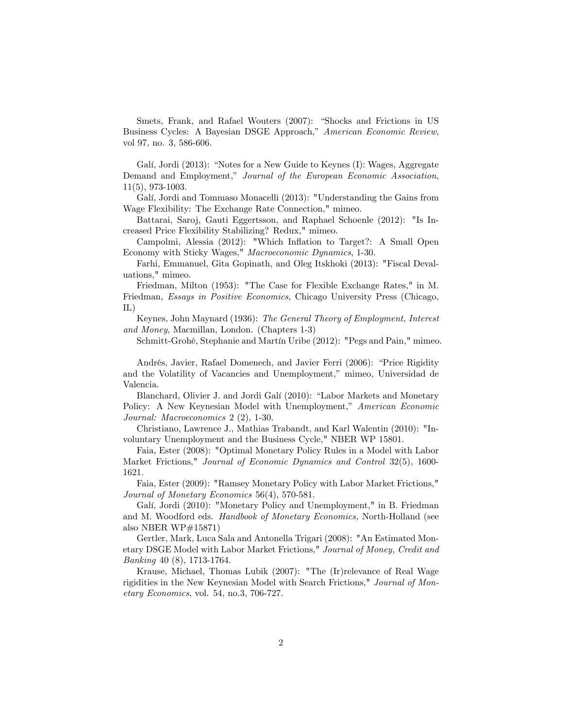Smets, Frank, and Rafael Wouters (2007): "Shocks and Frictions in US Business Cycles: A Bayesian DSGE Approach," American Economic Review, vol 97, no. 3, 586-606.

Galí, Jordi (2013): "Notes for a New Guide to Keynes (I): Wages, Aggregate Demand and Employment," Journal of the European Economic Association, 11(5), 973-1003.

Galí, Jordi and Tommaso Monacelli (2013): "Understanding the Gains from Wage Flexibility: The Exchange Rate Connection," mimeo.

Battarai, Saroj, Gauti Eggertsson, and Raphael Schoenle (2012): "Is Increased Price Flexibility Stabilizing? Redux," mimeo.

Campolmi, Alessia (2012): "Which Inflation to Target?: A Small Open Economy with Sticky Wages," Macroeconomic Dynamics, 1-30.

Farhi, Emmanuel, Gita Gopinath, and Oleg Itskhoki (2013): "Fiscal Devaluations," mimeo.

Friedman, Milton (1953): "The Case for Flexible Exchange Rates," in M. Friedman, Essays in Positive Economics, Chicago University Press (Chicago, IL)

Keynes, John Maynard (1936): The General Theory of Employment, Interest and Money, Macmillan, London. (Chapters 1-3)

Schmitt-Grohé, Stephanie and Martín Uribe (2012): "Pegs and Pain," mimeo.

Andrés, Javier, Rafael Domenech, and Javier Ferri (2006): "Price Rigidity and the Volatility of Vacancies and Unemployment," mimeo, Universidad de Valencia.

Blanchard, Olivier J. and Jordi Galí (2010): "Labor Markets and Monetary Policy: A New Keynesian Model with Unemployment," American Economic Journal: Macroeconomics 2 (2), 1-30.

Christiano, Lawrence J., Mathias Trabandt, and Karl Walentin (2010): "Involuntary Unemployment and the Business Cycle," NBER WP 15801.

Faia, Ester (2008): "Optimal Monetary Policy Rules in a Model with Labor Market Frictions," Journal of Economic Dynamics and Control 32(5), 1600- 1621.

Faia, Ester (2009): "Ramsey Monetary Policy with Labor Market Frictions," Journal of Monetary Economics 56(4), 570-581.

Galí, Jordi (2010): "Monetary Policy and Unemployment," in B. Friedman and M. Woodford eds. Handbook of Monetary Economics, North-Holland (see also NBER WP#15871)

Gertler, Mark, Luca Sala and Antonella Trigari (2008): "An Estimated Monetary DSGE Model with Labor Market Frictions," Journal of Money, Credit and Banking 40 (8), 1713-1764.

Krause, Michael, Thomas Lubik (2007): "The (Ir)relevance of Real Wage rigidities in the New Keynesian Model with Search Frictions," Journal of Monetary Economics, vol. 54, no.3, 706-727.